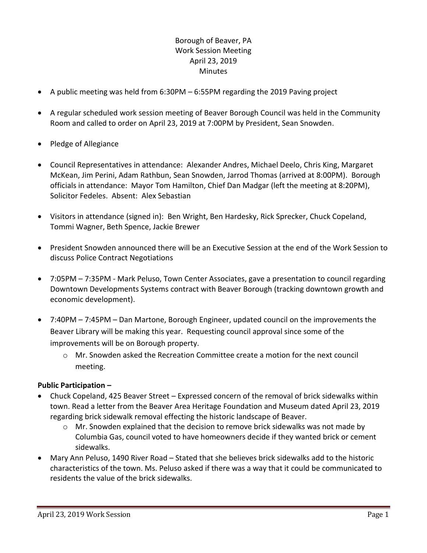### Borough of Beaver, PA Work Session Meeting April 23, 2019 **Minutes**

- A public meeting was held from 6:30PM 6:55PM regarding the 2019 Paving project
- A regular scheduled work session meeting of Beaver Borough Council was held in the Community Room and called to order on April 23, 2019 at 7:00PM by President, Sean Snowden.
- Pledge of Allegiance
- Council Representatives in attendance: Alexander Andres, Michael Deelo, Chris King, Margaret McKean, Jim Perini, Adam Rathbun, Sean Snowden, Jarrod Thomas (arrived at 8:00PM). Borough officials in attendance: Mayor Tom Hamilton, Chief Dan Madgar (left the meeting at 8:20PM), Solicitor Fedeles. Absent: Alex Sebastian
- Visitors in attendance (signed in): Ben Wright, Ben Hardesky, Rick Sprecker, Chuck Copeland, Tommi Wagner, Beth Spence, Jackie Brewer
- President Snowden announced there will be an Executive Session at the end of the Work Session to discuss Police Contract Negotiations
- 7:05PM 7:35PM Mark Peluso, Town Center Associates, gave a presentation to council regarding Downtown Developments Systems contract with Beaver Borough (tracking downtown growth and economic development).
- 7:40PM 7:45PM Dan Martone, Borough Engineer, updated council on the improvements the Beaver Library will be making this year. Requesting council approval since some of the improvements will be on Borough property.
	- o Mr. Snowden asked the Recreation Committee create a motion for the next council meeting.

### **Public Participation –**

- Chuck Copeland, 425 Beaver Street Expressed concern of the removal of brick sidewalks within town. Read a letter from the Beaver Area Heritage Foundation and Museum dated April 23, 2019 regarding brick sidewalk removal effecting the historic landscape of Beaver.
	- $\circ$  Mr. Snowden explained that the decision to remove brick sidewalks was not made by Columbia Gas, council voted to have homeowners decide if they wanted brick or cement sidewalks.
- Mary Ann Peluso, 1490 River Road Stated that she believes brick sidewalks add to the historic characteristics of the town. Ms. Peluso asked if there was a way that it could be communicated to residents the value of the brick sidewalks.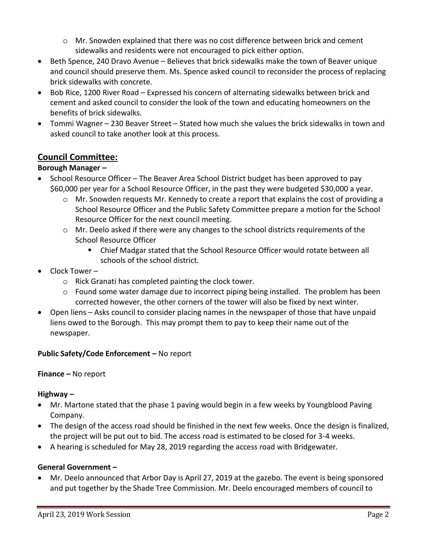- $\circ$  Mr. Snowden explained that there was no cost difference between brick and cement sidewalks and residents were not encouraged to pick either option.
- Beth Spence, 240 Dravo Avenue Believes that brick sidewalks make the town of Beaver unique and council should preserve them. Ms. Spence asked council to reconsider the process of replacing brick sidewalks with concrete.
- Bob Rice, 1200 River Road Expressed his concern of alternating sidewalks between brick and cement and asked council to consider the look of the town and educating homeowners on the benefits of brick sidewalks.
- Tommi Wagner 230 Beaver Street Stated how much she values the brick sidewalks in town and asked council to take another look at this process.

# **Council Committee:**

## **Borough Manager –**

- School Resource Officer The Beaver Area School District budget has been approved to pay \$60,000 per year for a School Resource Officer, in the past they were budgeted \$30,000 a year.
	- $\circ$  Mr. Snowden requests Mr. Kennedy to create a report that explains the cost of providing a School Resource Officer and the Public Safety Committee prepare a motion for the School Resource Officer for the next council meeting.
	- o Mr. Deelo asked if there were any changes to the school districts requirements of the School Resource Officer
		- Chief Madgar stated that the School Resource Officer would rotate between all schools of the school district.
- Clock Tower
	- o Rick Granati has completed painting the clock tower.
	- o Found some water damage due to incorrect piping being installed. The problem has been corrected however, the other corners of the tower will also be fixed by next winter.
- Open liens Asks council to consider placing names in the newspaper of those that have unpaid liens owed to the Borough. This may prompt them to pay to keep their name out of the newspaper.

## **Public Safety/Code Enforcement –** No report

### **Finance –** No report

## **Highway –**

- Mr. Martone stated that the phase 1 paving would begin in a few weeks by Youngblood Paving Company.
- The design of the access road should be finished in the next few weeks. Once the design is finalized, the project will be put out to bid. The access road is estimated to be closed for 3-4 weeks.
- A hearing is scheduled for May 28, 2019 regarding the access road with Bridgewater.

## **General Government –**

 Mr. Deelo announced that Arbor Day is April 27, 2019 at the gazebo. The event is being sponsored and put together by the Shade Tree Commission. Mr. Deelo encouraged members of council to